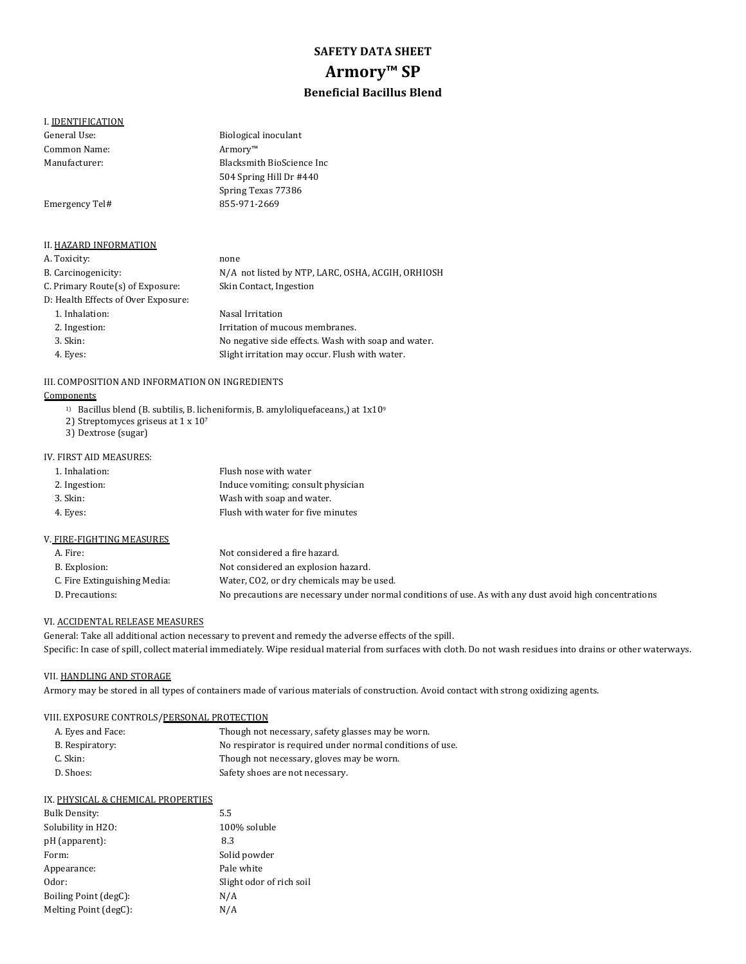# **SAFETY DATA SHEET Armory™ SP Beneficial Bacillus Blend**

## I. **IDENTIFICATION**

| General Use:                        | Biological inoculant                              |
|-------------------------------------|---------------------------------------------------|
| Common Name:                        | Armorv <sup>m</sup>                               |
| Manufacturer:                       | Blacksmith BioScience Inc.                        |
|                                     | 504 Spring Hill Dr #440                           |
|                                     | Spring Texas 77386                                |
| Emergency Tel#                      | 855-971-2669                                      |
|                                     |                                                   |
|                                     |                                                   |
| <b>II. HAZARD INFORMATION</b>       |                                                   |
| A. Toxicity:                        | none                                              |
| B. Carcinogenicity:                 | N/A not listed by NTP, LARC, OSHA, ACGIH, ORHIOSH |
| C. Primary Route(s) of Exposure:    | Skin Contact, Ingestion                           |
| D: Health Effects of Over Exposure: |                                                   |

1. Inhalation: Nasal Irritation 2. Ingestion: **I**rritation of mucous membranes. 3. Skin: Subsetting the Nonegative side effects. Wash with soap and water. 4. Eyes: Slight irritation may occur. Flush with water.

#### III. COMPOSITION AND INFORMATION ON INGREDIENTS

# **Components**

- <sup>1)</sup> Bacillus blend (B. subtilis, B. licheniformis, B. amyloliquefaceans,) at  $1x10^9$
- 2) Streptomyces griseus at  $1 \times 10^7$
- 3) Dextrose (sugar)

### IV. FIRST AID MEASURES:

| 1. Inhalation: | Flush nose with water              |
|----------------|------------------------------------|
| 2. Ingestion:  | Induce vomiting; consult physician |
| 3. Skin:       | Wash with soap and water.          |
| 4. Eyes:       | Flush with water for five minutes  |
|                |                                    |

#### V. FIRE-FIGHTING MEASURES

| A. Fire:                     | Not considered a fire hazard.                                                                           |
|------------------------------|---------------------------------------------------------------------------------------------------------|
| B. Explosion:                | Not considered an explosion hazard.                                                                     |
| C. Fire Extinguishing Media: | Water, CO2, or dry chemicals may be used.                                                               |
| D. Precautions:              | No precautions are necessary under normal conditions of use. As with any dust avoid high concentrations |
|                              |                                                                                                         |

## VI. ACCIDENTAL RELEASE MEASURES

General: Take all additional action necessary to prevent and remedy the adverse effects of the spill. Specific: In case of spill, collect material immediately. Wipe residual material from surfaces with cloth. Do not wash residues into drains or other waterways.

# VII. HANDLING AND STORAGE

Armory may be stored in all types of containers made of various materials of construction. Avoid contact with strong oxidizing agents.

# VIII. EXPOSURE CONTROLS/PERSONAL PROTECTION

| A. Eyes and Face: | Though not necessary, safety glasses may be worn.         |
|-------------------|-----------------------------------------------------------|
| B. Respiratory:   | No respirator is required under normal conditions of use. |
| C. Skin:          | Though not necessary, gloves may be worn.                 |
| D. Shoes:         | Safety shoes are not necessary.                           |

#### IX. PHYSICAL & CHEMICAL PROPERTIES

| Bulk Density:         | 5.5                      |
|-----------------------|--------------------------|
| Solubility in H2O:    | 100% soluble             |
| pH (apparent):        | 8.3                      |
| Form:                 | Solid powder             |
| Appearance:           | Pale white               |
| Odor:                 | Slight odor of rich soil |
| Boiling Point (degC): | N/A                      |
| Melting Point (degC): | N/A                      |